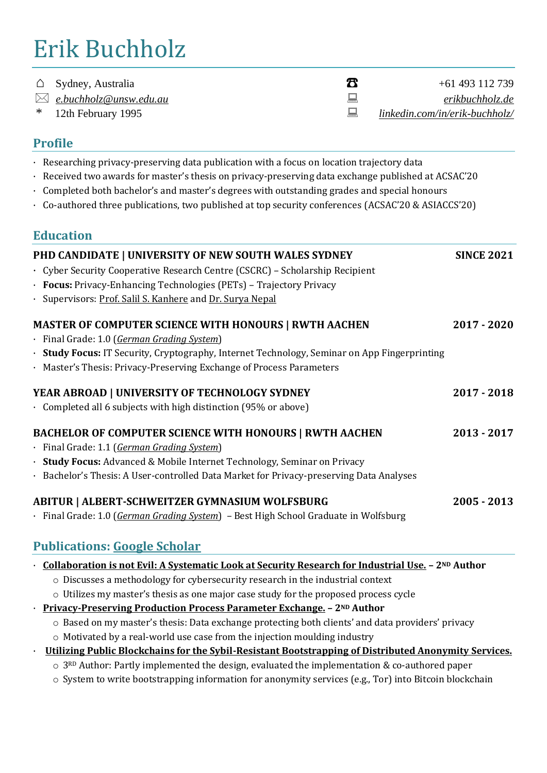# Erik Buchholz

| $\triangle$ |  | Sydney, Australia |
|-------------|--|-------------------|
|-------------|--|-------------------|

- 
- 

 $+61\,493\,112\,739$  *[e.buchholz@unsw.edu.au](mailto:e.buchholz@unsw.edu.au) [erikbuchholz.de](https://erikbuchholz.de/)* \* 12th February 1995 *[linkedin.com/in/erik-buchholz/](https://www.linkedin.com/in/erik-buchholz/)*

# **Profile**

- · Researching privacy-preserving data publication with a focus on location trajectory data
- · Received two awards for master's thesis on privacy-preserving data exchange published at ACSAC'20
- · Completed both bachelor's and master's degrees with outstanding grades and special honours
- · Co-authored three publications, two published at top security conferences (ACSAC'20 & ASIACCS'20)

# **Education**

| PHD CANDIDATE   UNIVERSITY OF NEW SOUTH WALES SYDNEY<br>· Cyber Security Cooperative Research Centre (CSCRC) - Scholarship Recipient<br>· Focus: Privacy-Enhancing Technologies (PETs) - Trajectory Privacy<br>· Supervisors: Prof. Salil S. Kanhere and Dr. Surya Nepal | <b>SINCE 2021</b> |
|--------------------------------------------------------------------------------------------------------------------------------------------------------------------------------------------------------------------------------------------------------------------------|-------------------|
| <b>MASTER OF COMPUTER SCIENCE WITH HONOURS   RWTH AACHEN</b>                                                                                                                                                                                                             | 2017 - 2020       |
| · Final Grade: 1.0 (German Grading System)                                                                                                                                                                                                                               |                   |
| · Study Focus: IT Security, Cryptography, Internet Technology, Seminar on App Fingerprinting                                                                                                                                                                             |                   |
| · Master's Thesis: Privacy-Preserving Exchange of Process Parameters                                                                                                                                                                                                     |                   |
| YEAR ABROAD   UNIVERSITY OF TECHNOLOGY SYDNEY                                                                                                                                                                                                                            | 2017 - 2018       |
| Completed all 6 subjects with high distinction $(95\% \text{ or above})$                                                                                                                                                                                                 |                   |
| <b>BACHELOR OF COMPUTER SCIENCE WITH HONOURS   RWTH AACHEN</b>                                                                                                                                                                                                           | 2013 - 2017       |
| · Final Grade: 1.1 (German Grading System)                                                                                                                                                                                                                               |                   |
| · Study Focus: Advanced & Mobile Internet Technology, Seminar on Privacy                                                                                                                                                                                                 |                   |
| · Bachelor's Thesis: A User-controlled Data Market for Privacy-preserving Data Analyses                                                                                                                                                                                  |                   |
| ABITUR   ALBERT-SCHWEITZER GYMNASIUM WOLFSBURG                                                                                                                                                                                                                           | $2005 - 2013$     |
| · Final Grade: 1.0 (German Grading System) - Best High School Graduate in Wolfsburg                                                                                                                                                                                      |                   |
| <b>Publications: Google Scholar</b>                                                                                                                                                                                                                                      |                   |

### · **[Collaboration is not Evil: A Systematic Look at Security Research for Industrial Use.](https://erikbuchholz.de/wp-content/papercite-data/pdf/pbd+21.pdf) – 2ND Author**

- o Discusses a methodology for cybersecurity research in the industrial context
- o Utilizes my master's thesis as one major case study for the proposed process cycle
- · **[Privacy-Preserving Production Process Parameter Exchange.](https://erikbuchholz.de/wp-content/papercite-data/pdf/pbl+20.pdf) – 2ND Author**
	- o Based on my master's thesis: Data exchange protecting both clients' and data providers' privacy
	- o Motivated by a real-world use case from the injection moulding industry
- · **[Utilizing Public Blockchains for the Sybil-Resistant Bootstrapping of Distributed Anonymity Services.](https://erikbuchholz.de/wp-content/papercite-data/pdf/mpbw20.pdf)** 
	- o 3RD Author: Partly implemented the design, evaluated the implementation & co-authored paper
	- o System to write bootstrapping information for anonymity services (e.g., Tor) into Bitcoin blockchain